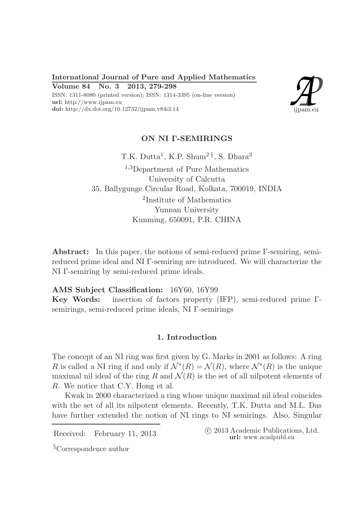International Journal of Pure and Applied Mathematics Volume 84 No. 3 2013, 279-298

ISSN: 1311-8080 (printed version); ISSN: 1314-3395 (on-line version) url: http://www.ijpam.eu doi: http://dx.doi.org/10.12732/ijpam.v84i3.14



# ON NI Γ-SEMIRINGS

T.K. Dutta<sup>1</sup>, K.P. Shum<sup>2§</sup>, S. Dhara<sup>3</sup> <sup>1,3</sup>Department of Pure Mathematics University of Calcutta 35, Ballygunge Circular Road, Kolkata, 700019, INDIA 2 Institute of Mathematics Yunnan University Kunming, 650091, P.R. CHINA

Abstract: In this paper, the notions of semi-reduced prime Γ-semiring, semireduced prime ideal and NI Γ-semiring are introduced. We will characterize the NI Γ-semiring by semi-reduced prime ideals.

AMS Subject Classification: 16Y60, 16Y99

Key Words: insertion of factors property (IFP), semi-reduced prime Γsemirings, semi-reduced prime ideals, NI Γ-semirings

## 1. Introduction

The concept of an NI ring was first given by G. Marks in 2001 as follows: A ring R is called a NI ring if and only if  $\mathcal{N}^*(R) = \mathcal{N}(R)$ , where  $\mathcal{N}^*(R)$  is the unique maximal nil ideal of the ring R and  $\mathcal{N}(R)$  is the set of all nilpotent elements of R. We notice that C.Y. Hong et al.

Kwak in 2000 characterized a ring whose unique maximal nil ideal coincides with the set of all its nilpotent elements. Recently, T.K. Dutta and M.L. Das have further extended the notion of NI rings to NI semirings. Also, Singular

Received: February 11, 2013 ( $\degree$  2013 Academic Publications, Ltd. url: www.acadpubl.eu

§Correspondence author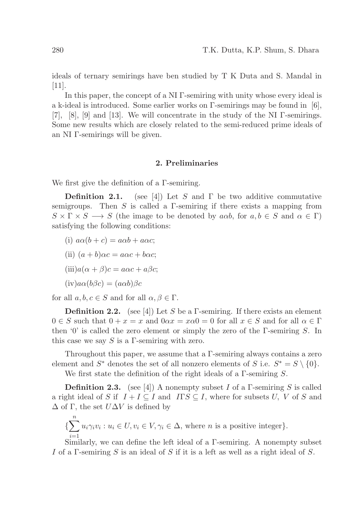ideals of ternary semirings have ben studied by T K Duta and S. Mandal in [11].

In this paper, the concept of a NI Γ-semiring with unity whose every ideal is a k-ideal is introduced. Some earlier works on  $\Gamma$ -semirings may be found in [6], [7], [8], [9] and [13]. We will concentrate in the study of the NI Γ-semirings. Some new results which are closely related to the semi-reduced prime ideals of an NI Γ-semirings will be given.

#### 2. Preliminaries

We first give the definition of a Γ-semiring.

**Definition 2.1.** (see [4]) Let S and  $\Gamma$  be two additive commutative semigroups. Then S is called a  $\Gamma$ -semiring if there exists a mapping from  $S \times \Gamma \times S \longrightarrow S$  (the image to be denoted by aab, for  $a, b \in S$  and  $\alpha \in \Gamma$ ) satisfying the following conditions:

- (i)  $a\alpha(b+c) = a\alpha b + a\alpha c$ ;
- (ii)  $(a + b)\alpha c = a\alpha c + b\alpha c;$
- $(iii)a(\alpha + \beta)c = a\alpha c + a\beta c;$

$$
(iv)a\alpha(b\beta c)=(a\alpha b)\beta c
$$

for all  $a, b, c \in S$  and for all  $\alpha, \beta \in \Gamma$ .

**Definition 2.2.** (see [4]) Let S be a Γ-semiring. If there exists an element  $0 \in S$  such that  $0 + x = x$  and  $0 \alpha x = x \alpha 0 = 0$  for all  $x \in S$  and for all  $\alpha \in \Gamma$ then '0' is called the zero element or simply the zero of the Γ-semiring S. In this case we say  $S$  is a Γ-semiring with zero.

Throughout this paper, we assume that a Γ-semiring always contains a zero element and  $S^*$  denotes the set of all nonzero elements of S i.e.  $S^* = S \setminus \{0\}.$ 

We first state the definition of the right ideals of a  $\Gamma$ -semiring  $S$ .

**Definition 2.3.** (see [4]) A nonempty subset I of a Γ-semiring S is called a right ideal of S if  $I + I \subseteq I$  and  $ITS \subseteq I$ , where for subsets U, V of S and  $\Delta$  of Γ, the set  $U\Delta V$  is defined by

$$
\{\sum_{i=1}^{n} u_i \gamma_i v_i : u_i \in U, v_i \in V, \gamma_i \in \Delta, \text{ where } n \text{ is a positive integer}\}.
$$

Similarly, we can define the left ideal of a  $\Gamma$ -semiring. A nonempty subset I of a Γ-semiring S is an ideal of S if it is a left as well as a right ideal of S.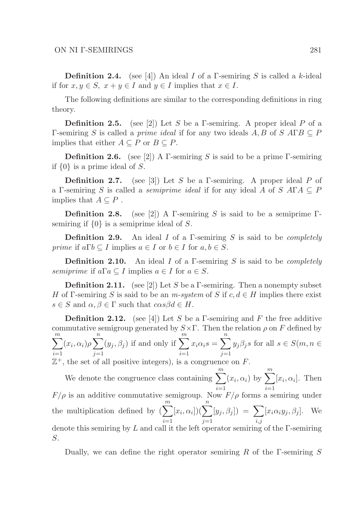**Definition 2.4.** (see [4]) An ideal I of a Γ-semiring S is called a k-ideal if for  $x, y \in S$ ,  $x + y \in I$  and  $y \in I$  implies that  $x \in I$ .

The following definitions are similar to the corresponding definitions in ring theory.

**Definition 2.5.** (see [2]) Let S be a Γ-semiring. A proper ideal P of a Γ-semiring S is called a *prime ideal* if for any two ideals A, B of S AΓB  $\subseteq$  P implies that either  $A \subseteq P$  or  $B \subseteq P$ .

**Definition 2.6.** (see [2]) A Γ-semiring S is said to be a prime Γ-semiring if  $\{0\}$  is a prime ideal of S.

**Definition 2.7.** (see [3]) Let S be a Γ-semiring. A proper ideal P of a Γ-semiring S is called a *semiprime ideal* if for any ideal A of S AΓA  $\subseteq$  P implies that  $A \subseteq P$ .

**Definition 2.8.** (see [2]) A Γ-semiring S is said to be a semiprime Γsemiring if  $\{0\}$  is a semiprime ideal of S.

**Definition 2.9.** An ideal I of a Γ-semiring S is said to be *completely prime* if  $a \Gamma b \subseteq I$  implies  $a \in I$  or  $b \in I$  for  $a, b \in S$ .

**Definition 2.10.** An ideal I of a Γ-semiring S is said to be *completely* semiprime if  $a\Gamma a \subseteq I$  implies  $a \in I$  for  $a \in S$ .

**Definition 2.11.** (see [2]) Let S be a  $\Gamma$ -semiring. Then a nonempty subset H of Γ-semiring S is said to be an m-system of S if  $c, d \in H$  implies there exist  $s \in S$  and  $\alpha, \beta \in \Gamma$  such that  $\alpha s \beta d \in H$ .

**Definition 2.12.** (see [4]) Let S be a Γ-semiring and F the free additive commutative semigroup generated by  $S \times \Gamma$ . Then the relation  $\rho$  on F defined by  $\sum_{i=1}^{m}$  $i=1$  $(x_i, \alpha_i) \rho \sum_{i=1}^{n}$  $j=1$  $(y_j, \beta_j)$  if and only if  $\sum_{m=1}^{m}$  $i=1$  $x_i\alpha_i s = \sum^n$  $j=1$  $y_j\beta_j s$  for all  $s \in S(m, n \in$  $\mathbb{Z}^+$ , the set of all positive integers), is a congruence on F.

We denote the congruence class containing  $\sum_{n=1}^{m}$  $i=1$  $(x_i, \alpha_i)$  by  $\sum_{i=1}^{m}$  $i=1$  $[x_i, \alpha_i]$ . Then  $F/\rho$  is an additive commutative semigroup. Now  $F/\rho$  forms a semiring under the multiplication defined by  $\left(\sum_{m=1}^{m} \alpha_{m} \right)^{m}$  $i=1$  $[x_i,\alpha_i])$  $\left(\sum_{i=1}^n x_i\right)$  $j=1$  $[y_j , \beta_j]$  =  $\sum$ i,j  $[x_i \alpha_i y_j, \beta_j]$ . We denote this semiring by  $L$  and call it the left operator semiring of the  $\Gamma$ -semiring S.

Dually, we can define the right operator semiring R of the  $\Gamma$ -semiring S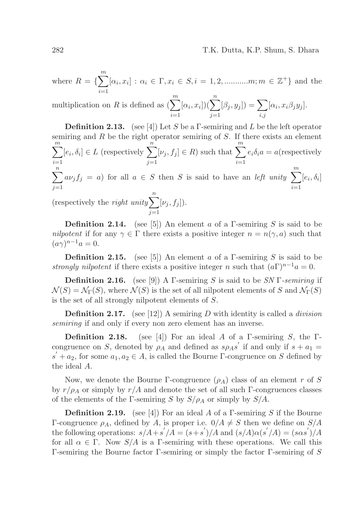where  $R = \{ \sum_{i=1}^{m} [\alpha_i, x_i] : \alpha_i \in \Gamma, x_i \in S, i = 1, 2, \dots, m; m \in \mathbb{Z}^+ \}$  and the

 $i=1$ <br>multiplication on R is defined as  $\left(\sum_{n=1}^{m} \right)$  $i=1$  $[\alpha_i, x_i])$  $\left(\sum_{i=1}^n x_i\right)$  $j=1$  $[\beta_j, y_j]$ ) =  $\sum$ i,j  $[\alpha_i, x_i \beta_j y_j].$ 

**Definition 2.13.** (see [4]) Let S be a Γ-semiring and L be the left operator semiring and  $R$  be the right operator semiring of  $S$ . If there exists an element  $\sum_{i=1}^{m}$  $i=1$  $[e_i, \delta_i] \in L$  (respectively  $\sum_{n=1}^{\infty}$  $j=1$  $[\nu_j, f_j] \in R$ ) such that  $\sum_{n=1}^{\infty}$  $i=1$  $e_i\delta_i a = a$ (respectively  $\sum_{n=1}^{\infty}$  $j=1$  $a\nu_j f_j = a$ ) for all  $a \in S$  then S is said to have an *left unity*  $\sum_{n=1}^{\infty}$  $i=1$  $[e_i, \delta_i]$ (respectively the *right unity* $\sum_{n=1}^{n}$  $j=1$  $[\nu_j, f_j]$ ).

**Definition 2.14.** (see [5]) An element a of a Γ-semiring S is said to be nilpotent if for any  $\gamma \in \Gamma$  there exists a positive integer  $n = n(\gamma, a)$  such that  $(a\gamma)^{n-1}a=0.$ 

**Definition 2.15.** (see [5]) An element a of a Γ-semiring S is said to be strongly nilpotent if there exists a positive integer n such that  $(a\Gamma)^{n-1}a = 0$ .

**Definition 2.16.** (see [9]) A Γ-semiring S is said to be SN Γ-semiring if  $\mathcal{N}(S) = \mathcal{N}_{\Gamma}(S)$ , where  $\mathcal{N}(S)$  is the set of all nilpotent elements of S and  $\mathcal{N}_{\Gamma}(S)$ is the set of all strongly nilpotent elements of S.

**Definition 2.17.** (see [12]) A semiring D with identity is called a *division* semiring if and only if every non zero element has an inverse.

**Definition 2.18.** (see [4]) For an ideal A of a Γ-semiring S, the Γcongruence on S, denoted by  $\rho_A$  and defined as  $s\rho_A s'$  if and only if  $s + a_1 =$  $s' + a_2$ , for some  $a_1, a_2 \in A$ , is called the Bourne  $\Gamma$ -congruence on S defined by the ideal A.

Now, we denote the Bourne Γ-congruence  $(\rho_A)$  class of an element r of S by  $r/\rho_A$  or simply by  $r/A$  and denote the set of all such Γ-congruences classes of the elements of the Γ-semiring S by  $S/\rho_A$  or simply by  $S/A$ .

**Definition 2.19.** (see [4]) For an ideal A of a Γ-semiring S if the Bourne Γ-congruence  $ρ_A$ , defined by A, is proper i.e.  $0/A \neq S$  then we define on  $S/A$ the following operations:  $s/A + s'/A = (s + s')/A$  and  $(s/A)\alpha(s'/A) = (s\alpha s')/A$ for all  $\alpha \in \Gamma$ . Now  $S/A$  is a Γ-semiring with these operations. We call this Γ-semiring the Bourne factor Γ-semiring or simply the factor Γ-semiring of S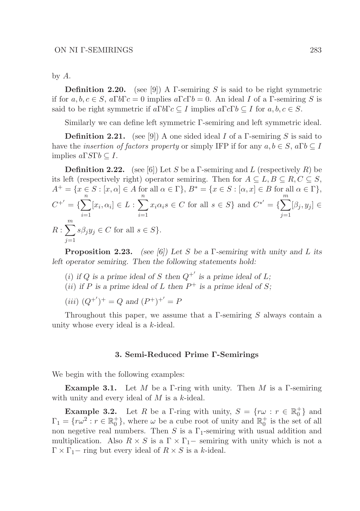by A.

**Definition 2.20.** (see [9]) A  $\Gamma$ -semiring S is said to be right symmetric if for  $a, b, c \in S$ ,  $a\Gamma b \Gamma c = 0$  implies  $a\Gamma c \Gamma b = 0$ . An ideal I of a  $\Gamma$ -semiring S is said to be right symmetric if  $a\Gamma b\Gamma c \subseteq I$  implies  $a\Gamma c\Gamma b \subseteq I$  for  $a, b, c \in S$ .

Similarly we can define left symmetric Γ-semiring and left symmetric ideal.

**Definition 2.21.** (see [9]) A one sided ideal I of a  $\Gamma$ -semiring S is said to have the *insertion of factors property* or simply IFP if for any  $a, b \in S$ ,  $a\Gamma b \subset I$ implies  $a \Gamma S \Gamma b \subseteq I$ .

**Definition 2.22.** (see [6]) Let S be a Γ-semiring and L (respectively R) be its left (respectively right) operator semiring. Then for  $A \subseteq L, B \subseteq R, C \subseteq S$ ,  $A^+ = \{x \in S : [x, \alpha] \in A \text{ for all } \alpha \in \Gamma\}, B^* = \{x \in S : [\alpha, x] \in B \text{ for all } \alpha \in \Gamma\},\$  $C^{+'} = \left\{ \sum_{n=1}^{n} \right\}$  $i=1$  $[x_i, \alpha_i] \in L : \sum^n$  $i=1$  $x_i \alpha_i s \in C$  for all  $s \in S$ } and  $C^{*'} = \{ \sum_{i=1}^{m} a_i s \in C \}$  $j=1$  $[\beta_j, y_j] \in$  $R:\sum^m$  $j=1$  $s\beta_j y_j \in C$  for all  $s \in S$ .

Proposition 2.23. *(see [6]) Let* S *be a* Γ*-semiring with unity and* L *its left operator semiring. Then the following statements hold:*

- (*i*) if Q is a prime ideal of S then  $Q^{+'}$  is a prime ideal of L;
- (*ii*) *if* P is a prime ideal of L then  $P^+$  is a prime ideal of S;

(*iii*)  $(Q^{+})^{+} = Q$  and  $(P^{+})^{+}' = P$ 

Throughout this paper, we assume that a  $\Gamma$ -semiring  $S$  always contain a unity whose every ideal is a k-ideal.

#### 3. Semi-Reduced Prime Γ-Semirings

We begin with the following examples:

**Example 3.1.** Let M be a Γ-ring with unity. Then M is a Γ-semiring with unity and every ideal of M is a k-ideal.

**Example 3.2.** Let R be a Γ-ring with unity,  $S = \{r\omega : r \in \mathbb{R}_0^+\}$  and  $\Gamma_1 = \{ r\omega^2 : r \in \mathbb{R}_0^+ \}$ , where  $\omega$  be a cube root of unity and  $\mathbb{R}_0^+$  is the set of all non negetive real numbers. Then S is a  $\Gamma_1$ -semiring with usual addition and multiplication. Also  $R \times S$  is a  $\Gamma \times \Gamma_1$  – semiring with unity which is not a  $\Gamma \times \Gamma_1$  - ring but every ideal of  $R \times S$  is a k-ideal.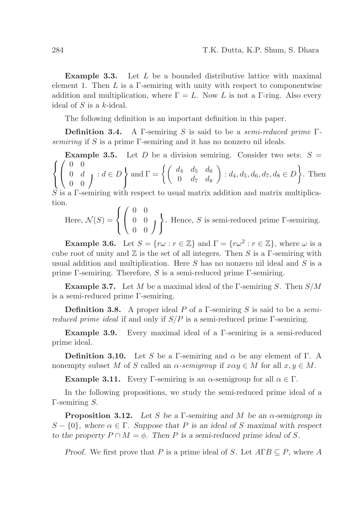**Example 3.3.** Let  $L$  be a bounded distributive lattice with maximal element 1. Then  $L$  is a  $\Gamma$ -semiring with unity with respect to componentwise addition and multiplication, where  $\Gamma = L$ . Now L is not a Γ-ring. Also every ideal of  $S$  is a k-ideal.

The following definition is an important definition in this paper.

**Definition 3.4.** A Γ-semiring S is said to be a semi-reduced prime  $\Gamma$ semiring if S is a prime Γ-semiring and it has no nonzero nil ideals.

 $\sqrt{ }$ **Example 3.5.** Let D be a division semiring. Consider two sets:  $S =$  $\left\vert \right\vert$  $\mathcal{L}$  $\sqrt{ }$  $\overline{1}$ 0 0  $\left\{\begin{array}{cc} 0 & d \\ 0 & 0 \end{array}\right\} : d \in D$  $\int$ and  $\Gamma = \begin{cases} \begin{pmatrix} d_4 & d_5 & d_6 \ 0 & d_7 & d_8 \end{pmatrix} \end{cases}$  $\Big\} : d_4, d_5, d_6, d_7, d_8 \in D$ . Then

 $S$  is a  $\Gamma$ -semiring with respect to usual matrix addition and matrix multiplication.

Here, 
$$
\mathcal{N}(S) = \left\{ \begin{pmatrix} 0 & 0 \\ 0 & 0 \\ 0 & 0 \end{pmatrix} \right\}
$$
. Hence, S is semi-reduced prime  $\Gamma$ -semiring.

**Example 3.6.** Let  $S = \{r\omega : r \in \mathbb{Z}\}\$ and  $\Gamma = \{r\omega^2 : r \in \mathbb{Z}\}\$ , where  $\omega$  is a cube root of unity and  $\mathbb Z$  is the set of all integers. Then S is a  $\Gamma$ -semiring with usual addition and multiplication. Here  $S$  has no nonzero nil ideal and  $S$  is a prime Γ-semiring. Therefore, S is a semi-reduced prime Γ-semiring.

**Example 3.7.** Let M be a maximal ideal of the Γ-semiring S. Then  $S/M$ is a semi-reduced prime Γ-semiring.

**Definition 3.8.** A proper ideal P of a Γ-semiring S is said to be a semi*reduced prime ideal* if and only if  $S/P$  is a semi-reduced prime Γ-semiring.

Example 3.9. Every maximal ideal of a Γ-semiring is a semi-reduced prime ideal.

**Definition 3.10.** Let S be a Γ-semiring and  $\alpha$  be any element of Γ. A nonempty subset M of S called an  $\alpha$ -semigroup if  $x\alpha y \in M$  for all  $x, y \in M$ .

**Example 3.11.** Every Γ-semiring is an  $\alpha$ -semigroup for all  $\alpha \in \Gamma$ .

In the following propositions, we study the semi-reduced prime ideal of a Γ-semiring S.

Proposition 3.12. *Let* S *be a* Γ*-semiring and* M *be an* α*-semigroup in* S – {0}, where  $\alpha \in \Gamma$ . Suppose that P is an ideal of S maximal with respect *to the property*  $P \cap M = \emptyset$ . Then P is a semi-reduced prime ideal of S.

*Proof.* We first prove that P is a prime ideal of S. Let  $A \Gamma B \subseteq P$ , where A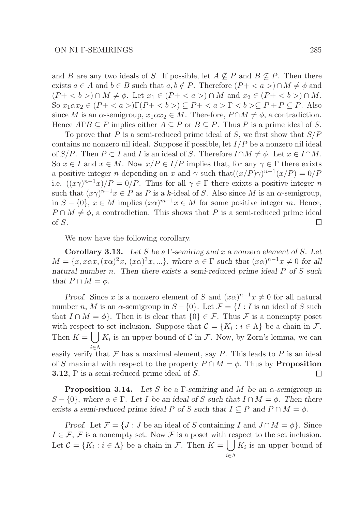and B are any two ideals of S. If possible, let  $A \not\subseteq P$  and  $B \not\subseteq P$ . Then there exists  $a \in A$  and  $b \in B$  such that  $a, b \notin P$ . Therefore  $(P + \langle a \rangle) \cap M \neq \emptyset$  and  $(P+ < b>) \cap M \neq \emptyset$ . Let  $x_1 \in (P+ < a>) \cap M$  and  $x_2 \in (P+ < b>) \cap M$ . So  $x_1 \alpha x_2 \in (P + \langle a \rangle) \Gamma(P + \langle b \rangle) \subseteq P + \langle a \rangle \Gamma \langle b \rangle \subseteq P + P \subseteq P$ . Also since M is an  $\alpha$ -semigroup,  $x_1 \alpha x_2 \in M$ . Therefore,  $P \cap M \neq \emptyset$ , a contradiction. Hence  $A\Gamma B \subseteq P$  implies either  $A \subseteq P$  or  $B \subseteq P$ . Thus P is a prime ideal of S.

To prove that P is a semi-reduced prime ideal of S, we first show that  $S/P$ contains no nonzero nil ideal. Suppose if possible, let  $I/P$  be a nonzero nil ideal of  $S/P$ . Then  $P \subset I$  and I is an ideal of S. Therefore  $I \cap M \neq \emptyset$ . Let  $x \in I \cap M$ . So  $x \in I$  and  $x \in M$ . Now  $x/P \in I/P$  implies that, for any  $\gamma \in \Gamma$  there exixts a positive integer *n* depending on x and  $\gamma$  such that  $((x/P)\gamma)^{n-1}(x/P) = 0/P$ i.e.  $((x\gamma)^{n-1}x)/P = 0/P$ . Thus for all  $\gamma \in \Gamma$  there exixts a positive integer n such that  $(x\gamma)^{n-1}x \in P$  as P is a k-ideal of S. Also since M is an  $\alpha$ -semigroup, in  $S - \{0\}, x \in M$  implies  $(x\alpha)^{m-1}x \in M$  for some positive integer m. Hence,  $P \cap M \neq \emptyset$ , a contradiction. This shows that P is a semi-reduced prime ideal of S. □

We now have the following corollary.

Corollary 3.13. *Let* S *be a* Γ*-semiring and* x *a nonzero element of* S*. Let*  $M = \{x, x\alpha x, (x\alpha)^2 x, (x\alpha)^3 x, ...\}$ , where  $\alpha \in \Gamma$  such that  $(x\alpha)^{n-1} x \neq 0$  for all *natural number* n*. Then there exists a semi-reduced prime ideal* P *of* S *such that*  $P \cap M = \phi$ *.* 

*Proof.* Since x is a nonzero element of S and  $(x\alpha)^{n-1}x \neq 0$  for all natural number n, M is an  $\alpha$ -semigroup in  $S - \{0\}$ . Let  $\mathcal{F} = \{I : I$  is an ideal of S such that  $I \cap M = \phi$ . Then it is clear that  $\{0\} \in \mathcal{F}$ . Thus  $\mathcal{F}$  is a nonempty poset with respect to set inclusion. Suppose that  $\mathcal{C} = \{K_i : i \in \Lambda\}$  be a chain in  $\mathcal{F}$ . Then  $K = \bigcup K_i$  is an upper bound of C in F. Now, by Zorn's lemma, we can i∈Λ easily verify that  $\mathcal F$  has a maximal element, say  $P$ . This leads to  $P$  is an ideal of S maximal with respect to the property  $P \cap M = \phi$ . Thus by **Proposition** 3.12, P is a semi-reduced prime ideal of S. □

Proposition 3.14. *Let* S *be a* Γ*-semiring and* M *be an* α*-semigroup in* S – {0}, where  $\alpha \in \Gamma$ . Let I be an ideal of S such that  $I \cap M = \phi$ . Then there *exists a semi-reduced prime ideal* P of S *such that*  $I \subseteq P$  *and*  $P \cap M = \phi$ *.* 

*Proof.* Let  $\mathcal{F} = \{J : J \text{ be an ideal of } S \text{ containing } I \text{ and } J \cap M = \phi\}$ . Since  $I \in \mathcal{F}, \mathcal{F}$  is a nonempty set. Now  $\mathcal{F}$  is a poset with respect to the set inclusion. Let  $\mathcal{C} = \{K_i : i \in \Lambda\}$  be a chain in F. Then  $K = \left\lfloor \int K_i \right\rfloor$  is an upper bound of i∈Λ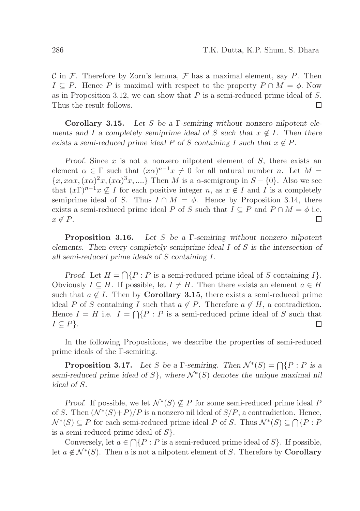C in F. Therefore by Zorn's lemma, F has a maximal element, say P. Then  $I \subseteq P$ . Hence P is maximal with respect to the property  $P \cap M = \phi$ . Now as in Proposition 3.12, we can show that  $P$  is a semi-reduced prime ideal of  $S$ . Thus the result follows. П

Corollary 3.15. *Let* S *be a* Γ*-semiring without nonzero nilpotent elements and* I a completely semiprime ideal of S such that  $x \notin I$ . Then there *exists a semi-reduced prime ideal* P *of* S *containing* I such that  $x \notin P$ *.* 

*Proof.* Since x is not a nonzero nilpotent element of S, there exists an element  $\alpha \in \Gamma$  such that  $(x\alpha)^{n-1}x \neq 0$  for all natural number n. Let  $M =$  ${x, x\alpha x, (x\alpha)^2 x, (x\alpha)^3 x, \ldots}$  Then M is a  $\alpha$ -semigroup in  $S - \{0\}$ . Also we see that  $(x\Gamma)^{n-1}x \nsubseteq I$  for each positive integer n, as  $x \notin I$  and I is a completely semiprime ideal of S. Thus  $I \cap M = \phi$ . Hence by Proposition 3.14, there exists a semi-reduced prime ideal P of S such that  $I \subseteq P$  and  $P \cap M = \phi$  i.e.  $x \notin P$ .  $\Box$ 

Proposition 3.16. *Let* S *be a* Γ*-semiring without nonzero nilpotent elements. Then every completely semiprime ideal* I *of* S *is the intersection of all semi-reduced prime ideals of* S *containing* I*.*

*Proof.* Let  $H = \bigcap \{P : P \text{ is a semi-reduced prime ideal of } S \text{ containing } I\}.$ Obviously  $I \subseteq H$ . If possible, let  $I \neq H$ . Then there exists an element  $a \in H$ such that  $a \notin I$ . Then by **Corollary 3.15**, there exists a semi-reduced prime ideal P of S containing I such that  $a \notin P$ . Therefore  $a \notin H$ , a contradiction. Hence  $I = H$  i.e.  $I = \bigcap \{P : P$  is a semi-reduced prime ideal of S such that  $I \subseteq P$ . □

In the following Propositions, we describe the properties of semi-reduced prime ideals of the Γ-semiring.

**Proposition 3.17.** Let S be a  $\Gamma$ -semiring. Then  $\mathcal{N}^*(S) = \bigcap \{P : P \text{ is a } \Gamma\}$ *semi-reduced prime ideal of*  $S$ *}, where*  $\mathcal{N}^*(S)$  *denotes the unique maximal nil ideal of* S*.*

*Proof.* If possible, we let  $\mathcal{N}^*(S) \not\subseteq P$  for some semi-reduced prime ideal P of S. Then  $(\mathcal{N}^*(S) + P)/P$  is a nonzero nil ideal of  $S/P$ , a contradiction. Hence,  $\mathcal{N}^*(S) \subseteq P$  for each semi-reduced prime ideal P of S. Thus  $\mathcal{N}^*(S) \subseteq \bigcap \{P : P\}$ is a semi-reduced prime ideal of  $S$ .

Conversely, let  $a \in \bigcap \{P : P \text{ is a semi-reduced prime ideal of } S\}$ . If possible, let  $a \notin \mathcal{N}^*(S)$ . Then a is not a nilpotent element of S. Therefore by **Corollary**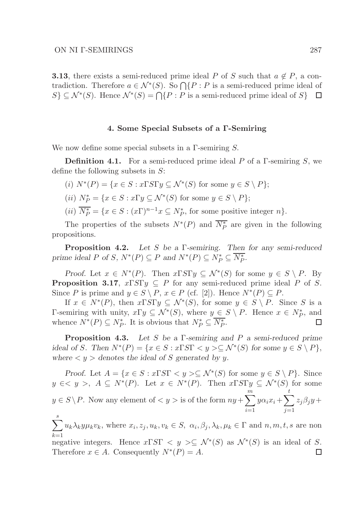**3.13**, there exists a semi-reduced prime ideal P of S such that  $a \notin P$ , a contradiction. Therefore  $a \in \mathcal{N}^*(S)$ . So  $\bigcap \{P : P$  is a semi-reduced prime ideal of  $S \subseteq \mathcal{N}^*(S)$ . Hence  $\mathcal{N}^*(S) = \bigcap \{P : P \text{ is a semi-reduced prime ideal of } S\}$ 

### 4. Some Special Subsets of a Γ-Semiring

We now define some special subsets in a  $\Gamma$ -semiring S.

**Definition 4.1.** For a semi-reduced prime ideal P of a Γ-semiring S, we define the following subsets in  $S$ :

- (i)  $N^*(P) = \{x \in S : x \Gamma S \Gamma y \subseteq \mathcal{N}^*(S) \text{ for some } y \in S \setminus P \};$
- (*ii*)  $N_P^* = \{x \in S : x\Gamma y \subseteq \mathcal{N}^*(S) \text{ for some } y \in S \setminus P\};$
- (*ii*)  $\overline{N_P^*} = \{x \in S : (x\Gamma)^{n-1}x \subseteq N_P^*$ , for some positive integer  $n\}.$

The properties of the subsets  $N^*(P)$  and  $\overline{N_P^*}$  are given in the following propositions.

Proposition 4.2. *Let* S *be a* Γ*-semiring. Then for any semi-reduced prime ideal*  $P$  *of*  $S$ *,*  $N^*(P) \subseteq P$  *and*  $N^*(P) \subseteq N_P^* \subseteq \overline{N_P^*}$ *.* 

*Proof.* Let  $x \in N^*(P)$ . Then  $x \Gamma S \Gamma y \subseteq \mathcal{N}^*(S)$  for some  $y \in S \setminus P$ . By **Proposition 3.17,**  $x \Gamma S \Gamma y \subseteq P$  for any semi-reduced prime ideal P of S. Since P is prime and  $y \in S \setminus P$ ,  $x \in P$  (cf. [2]). Hence  $N^*(P) \subseteq P$ .

If  $x \in N^*(P)$ , then  $x \Gamma S \Gamma y \subseteq \mathcal{N}^*(S)$ , for some  $y \in S \setminus P$ . Since S is a Γ-semiring with unity,  $x\Gamma y$  ⊆  $\mathcal{N}^*(S)$ , where  $y \in S \setminus P$ . Hence  $x \in N_P^*$ , and whence  $N^*(P) \subseteq N_P^*$ . It is obvious that  $N_P^* \subseteq \overline{N_P^*}$ .  $\Box$ 

Proposition 4.3. *Let* S *be a* Γ*-semiring and* P *a semi-reduced prime ideal of* S. Then  $N^*(P) = \{x \in S : x \Gamma S \Gamma \langle y \rangle \subseteq \mathcal{N}^*(S) \text{ for some } y \in S \setminus P\},\$ where  $\langle y \rangle$  *denotes the ideal of S generated by y.* 

*Proof.* Let  $A = \{x \in S : x \Gamma S \Gamma \langle y \rangle \subseteq \mathcal{N}^*(S) \text{ for some } y \in S \setminus P\}.$  Since  $y \in \langle y \rangle$ ,  $A \subseteq N^*(P)$ . Let  $x \in N^*(P)$ . Then  $x \Gamma S \Gamma y \subseteq \mathcal{N}^*(S)$  for some  $y \in S \backslash P$ . Now any element of  $\langle y \rangle$  is of the form  $ny + \sum_{i=1}^{m}$  $i=1$  $y\alpha_i x_i + \sum$ t  $j=1$  $z_j\beta_jy +$ 

 $\sum^s$  $k=1$  $u_k \lambda_k y \mu_k v_k$ , where  $x_i, z_j, u_k, v_k \in S$ ,  $\alpha_i, \beta_j, \lambda_k, \mu_k \in \Gamma$  and  $n, m, t, s$  are non negative integers. Hence  $x \Gamma S \Gamma \langle y \rangle \subseteq \mathcal{N}^*(S)$  as  $\mathcal{N}^*(S)$  is an ideal of S.

Therefore  $x \in A$ . Consequently  $N^*(P) = A$ . □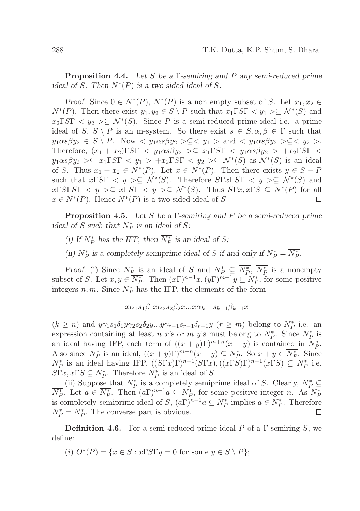Proposition 4.4. *Let* S *be a* Γ*-semiring and* P *any semi-reduced prime ideal of* S. Then  $N^*(P)$  *is a two sided ideal of* S.

*Proof.* Since  $0 \in N^*(P)$ ,  $N^*(P)$  is a non empty subset of S. Let  $x_1, x_2 \in$  $N^*(P)$ . Then there exist  $y_1, y_2 \in S \setminus P$  such that  $x_1 \Gamma S \Gamma \langle y_1 \rangle \subseteq \mathcal{N}^*(S)$  and  $x_2 \Gamma S \Gamma \langle y_2 \rangle \subseteq \mathcal{N}^*(S)$ . Since P is a semi-reduced prime ideal i.e. a prime ideal of S,  $S \setminus P$  is an m-system. So there exist  $s \in S, \alpha, \beta \in \Gamma$  such that  $y_1 \alpha s \beta y_2 \in S \setminus P$ . Now  $\langle y_1 \alpha s \beta y_2 \rangle \subseteq \langle y_1 \rangle$  and  $\langle y_1 \alpha s \beta y_2 \rangle \subseteq \langle y_2 \rangle$ . Therefore,  $(x_1 + x_2) \Gamma S \Gamma \langle y_1 \alpha s \beta y_2 \rangle \sum_{i=1}^{\infty} x_i \Gamma S \Gamma \langle y_1 \alpha s \beta y_2 \rangle + x_2 \Gamma S \Gamma \langle y_1 \alpha s \beta y_2 \rangle$  $y_1 \alpha s \beta y_2 \ge \subseteq x_1 \Gamma S \Gamma \langle y_1 \rangle + x_2 \Gamma S \Gamma \langle y_2 \rangle \subseteq \mathcal{N}^*(S)$  as  $\mathcal{N}^*(S)$  is an ideal of S. Thus  $x_1 + x_2 \in N^*(P)$ . Let  $x \in N^*(P)$ . Then there exists  $y \in S - P$ such that  $x\Gamma S\Gamma \langle y \rangle \subseteq \mathcal{N}^*(S)$ . Therefore  $S\Gamma x\Gamma S\Gamma \langle y \rangle \subseteq \mathcal{N}^*(S)$  and  $x\Gamma S\Gamma S\Gamma \langle y \rangle \subseteq x\Gamma S\Gamma \langle y \rangle \subseteq \mathcal{N}^*(S)$ . Thus  $S\Gamma x, x\Gamma S \subseteq \mathcal{N}^*(P)$  for all  $x \in N^*(P)$ . Hence  $N^*(P)$  is a two sided ideal of S  $\Box$ 

Proposition 4.5. *Let* S *be a* Γ*-semiring and* P *be a semi-reduced prime ideal of*  $S$  *such that*  $N_P^*$  *is an ideal of*  $S$ *:* 

- *(i)* If  $N_P^*$  has the IFP, then  $\overline{N_P^*}$  is an ideal of *S*;
- *(ii)*  $N_P^*$  *is a completely semiprime ideal of* S *if and only if*  $N_P^* = \overline{N_P^*}$ .

*Proof.* (i) Since  $N_P^*$  is an ideal of S and  $N_P^* \subseteq \overline{N_P^*}$ ,  $\overline{N_P^*}$  is a nonempty subset of S. Let  $x, y \in \overline{N_P^*}$ . Then  $(x\Gamma)^{n-1}x, (y\Gamma)^{m-1}y \subseteq N_P^*$ , for some positive integers  $n, m$ . Since  $N_P^*$  has the IFP, the elements of the form

$$
x\alpha_1s_1\beta_1x\alpha_2s_2\beta_2x...x\alpha_{k-1}s_{k-1}\beta_{k-1}x
$$

 $(k \ge n)$  and  $y\gamma_1s_1\delta_1y\gamma_2s_2\delta_2y\ldots y\gamma_{r-1}s_{r-1}\delta_{r-1}y$   $(r \ge m)$  belong to  $N_P^*$  i.e. an expression containing at least n x's or m y's must belong to  $N_P^*$ . Since  $N_P^*$  is an ideal having IFP, each term of  $((x + y)\Gamma)^{m+n}(x + y)$  is contained in  $N_P^*$ . Also since  $N_P^*$  is an ideal,  $((x+y)\Gamma)^{m+n}(x+y) \subseteq N_P^*$ . So  $x+y \in \overline{N_P^*}$ . Since  $N_P^*$  is an ideal having IFP,  $((S\Gamma x)\Gamma)^{n-1}(S\Gamma x)$ ,  $((x\Gamma S)\Gamma)^{n-1}(x\Gamma S) \subseteq N_P^*$  i.e.  $S\Gamma x, x\Gamma S \subseteq \overline{N_P^*}$ . Therefore  $\overline{N_P^*}$  is an ideal of S.

(ii) Suppose that  $N_P^*$  is a completely semiprime ideal of S. Clearly,  $N_P^* \subseteq$  $\overline{N_P^*}$ . Let  $a \in \overline{N_P^*}$ . Then  $(a\Gamma)^{n-1}a \subseteq N_P^*$ , for some positive integer n. As  $N_P^*$ is completely semiprime ideal of  $S$ ,  $(a\Gamma)^{n-1}a \subseteq N_P^*$  implies  $a \in N_P^*$ . Therefore  $N_P^* = \overline{N_P^*}$ . The converse part is obvious.  $\Box$ 

**Definition 4.6.** For a semi-reduced prime ideal P of a  $\Gamma$ -semiring S, we define:

(i)  $O^*(P) = \{x \in S : x \Gamma S \Gamma y = 0 \text{ for some } y \in S \setminus P\};$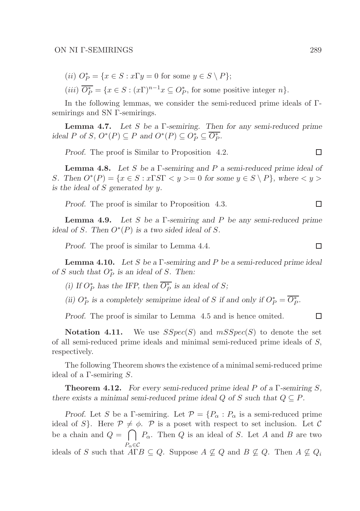(ii)  $O_P^* = \{x \in S : x\Gamma y = 0 \text{ for some } y \in S \setminus P\};$ 

(*iii*)  $\overline{O_P^*} = \{x \in S : (x\Gamma)^{n-1}x \subseteq O_P^*$ , for some positive integer  $n\}.$ 

In the following lemmas, we consider the semi-reduced prime ideals of Γsemirings and SN Γ-semirings.

Lemma 4.7. *Let* S *be a* Γ*-semiring. Then for any semi-reduced prime ideal P* of *S*,  $O^*(P) \subseteq P$  *and*  $O^*(P) \subseteq O_P^* \subseteq \overline{O_P^*}$ *.* 

*Proof.* The proof is Similar to Proposition 4.2.

Lemma 4.8. *Let* S *be a* Γ*-semiring and* P *a semi-reduced prime ideal of* S. Then  $O^*(P) = \{x \in S : x \Gamma S \Gamma \langle y \rangle = 0 \text{ for some } y \in S \setminus P\}$ , where  $\langle y \rangle$ *is the ideal of* S *generated by* y*.*

*Proof.* The proof is similar to Proposition 4.3.

Lemma 4.9. *Let* S *be a* Γ*-semiring and* P *be any semi-reduced prime ideal of S.* Then  $O^*(P)$  *is a two sided ideal of S.* 

*Proof.* The proof is similar to Lemma 4.4.

Lemma 4.10. *Let* S *be a* Γ*-semiring and* P *be a semi-reduced prime ideal of*  $S$  *such that*  $O_P^*$  *is an ideal of*  $S$ *. Then:* 

*(i)* If  $O_P^*$  has the IFP, then  $\overline{O_P^*}$  is an ideal of *S*;

(*ii*)  $O_P^*$  *is a completely semiprime ideal of* S *if and only if*  $O_P^* = \overline{O_P^*}$ .

*Proof.* The proof is similar to Lemma 4.5 and is hence omited.

**Notation 4.11.** We use  $SSpec(S)$  and  $mSSpec(S)$  to denote the set of all semi-reduced prime ideals and minimal semi-reduced prime ideals of S, respectively.

The following Theorem shows the existence of a minimal semi-reduced prime ideal of a Γ-semiring S.

Theorem 4.12. *For every semi-reduced prime ideal* P *of a* Γ*-semiring* S*, there exists a minimal semi-reduced prime ideal*  $Q$  *of*  $S$  *such that*  $Q \subseteq P$ *.* 

*Proof.* Let S be a Γ-semiring. Let  $\mathcal{P} = \{P_{\alpha} : P_{\alpha} \text{ is a semi-reduced prime}\}\$ ideal of S. Here  $\mathcal{P} \neq \emptyset$ . P is a poset with respect to set inclusion. Let C be a chain and  $Q = \bigcap P_{\alpha}$ . Then Q is an ideal of S. Let A and B are two  $P_{\alpha} \in \mathcal{C}$ ideals of S such that  $A\Gamma B \subseteq Q$ . Suppose  $A \nsubseteq Q$  and  $B \nsubseteq Q$ . Then  $A \nsubseteq Q_i$ 

 $\Box$ 

 $\Box$ 

口

 $\Box$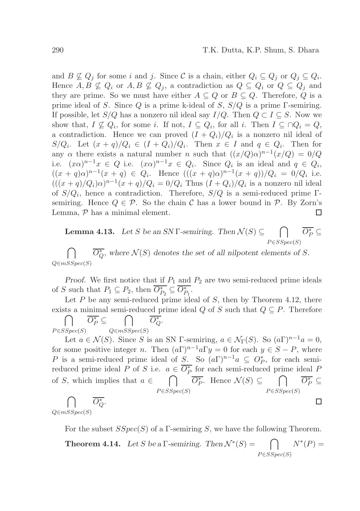and  $B \nsubseteq Q_j$  for some i and j. Since C is a chain, either  $Q_i \subseteq Q_j$  or  $Q_j \subseteq Q_i$ . Hence  $A, B \nsubseteq Q_i$  or  $A, B \nsubseteq Q_j$ , a contradiction as  $Q \subseteq Q_i$  or  $Q \subseteq Q_j$  and they are prime. So we must have either  $A \subseteq Q$  or  $B \subseteq Q$ . Therefore, Q is a prime ideal of S. Since Q is a prime k-ideal of S,  $S/Q$  is a prime Γ-semiring. If possible, let  $S/Q$  has a nonzero nil ideal say  $I/Q$ . Then  $Q \subset I \subseteq S$ . Now we show that,  $I \nsubseteq Q_i$ , for some i. If not,  $I \subseteq Q_i$ , for all i. Then  $I \subseteq \bigcap Q_i = Q$ , a contradiction. Hence we can proved  $(I + Q_i)/Q_i$  is a nonzero nil ideal of  $S/Q_i$ . Let  $(x+q)/Q_i \in (I+Q_i)/Q_i$ . Then  $x \in I$  and  $q \in Q_i$ . Then for any  $\alpha$  there exists a natural number n such that  $((x/Q)\alpha)^{n-1}(x/Q) = 0/Q$ i.e.  $(x\alpha)^{n-1}x \in Q$  i.e.  $(x\alpha)^{n-1}x \in Q_i$ . Since  $Q_i$  is an ideal and  $q \in Q_i$ ,  $((x+q)\alpha)^{n-1}(x+q) \in Q_i$ . Hence  $(((x+q)\alpha)^{n-1}(x+q))/Q_i = 0/Q_i$  i.e.  $(((x+q)/Q_i)\alpha)^{n-1}(x+q)/Q_i = 0/Q_i$  Thus  $(I+Q_i)/Q_i$  is a nonzero nil ideal of  $S/Q_i$ , hence a contradiction. Therefore,  $S/Q$  is a semi-reduced prime  $\Gamma$ semiring. Hence  $Q \in \mathcal{P}$ . So the chain C has a lower bound in P. By Zorn's Lemma,  $P$  has a minimal element.  $\Box$ 

**Lemma 4.13.** Let S be an SN  $\Gamma$ -semiring. Then  $\mathcal{N}(S) \subseteq \cap$  $P \in SSpec(S)$  $\overline{O_P^*} \subseteq$  $\cap$  $\overline{O_Q^*}$ , where  $\mathcal{N}(S)$  denotes the set of all nilpotent elements of S.

 $Q\in mSSpec(S)$ 

*Proof.* We first notice that if  $P_1$  and  $P_2$  are two semi-reduced prime ideals of S such that  $P_1 \subseteq P_2$ , then  $\overline{O_{P_2}^*} \subseteq \overline{O_{P_1}^*}$ .

Let  $P$  be any semi-reduced prime ideal of  $S$ , then by Theorem 4.12, there exists a minimal semi-reduced prime ideal Q of S such that  $Q \subseteq P$ . Therefore  $\Box$  $\overline{O_P^*} \subseteq$  $\Box$  $\overline{O_Q^*}.$ 

 $P \in SSpec(S)$  $Q\in mSSpec(S)$ 

Let  $a \in \mathcal{N}(S)$ . Since S is an SN Γ-semiring,  $a \in \mathcal{N}_{\Gamma}(S)$ . So  $(a\Gamma)^{n-1}a = 0$ , for some positive integer n. Then  $(a\Gamma)^{n-1}a\Gamma y = 0$  for each  $y \in S - P$ , where P is a semi-reduced prime ideal of S. So  $(a\Gamma)^{n-1}a \subseteq O_P^*$ , for each semireduced prime ideal P of S i.e.  $a \in \overline{O_P^*}$  for each semi-reduced prime ideal P  $\bigcap$   $\overline{O_P^*}$ . Hence  $\mathcal{N}(S) \subseteq \bigcap$   $\overline{O_P^*} \subseteq$ of S, which implies that  $a \in$  $P \in SSpec(S)$  $P \in SSpec(S)$  $\bigcap \quad \overline{O_{Q}^{*}}.$  $\Box$ 

 $Q \in mSSpec(S)$ 

For the subset  $SSpec(S)$  of a Γ-semiring S, we have the following Theorem.

**Theorem 4.14.** Let S be a  $\Gamma$ -semiring. Then  $\mathcal{N}^*(S) = \bigcap$  $P \in SSpec(S)$  $N^*(P) =$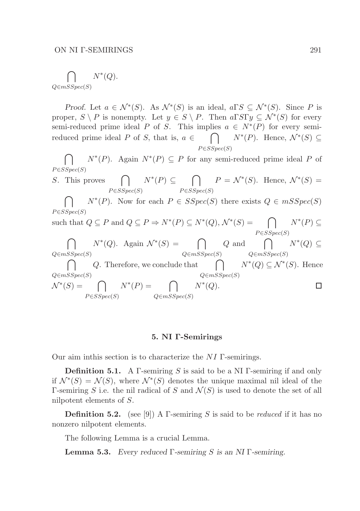$$
\bigcap_{Q \in mSSpec(S)} N^*(Q).
$$

*Proof.* Let  $a \in \mathcal{N}^*(S)$ . As  $\mathcal{N}^*(S)$  is an ideal,  $a \Gamma S \subseteq \mathcal{N}^*(S)$ . Since P is proper,  $S \setminus P$  is nonempty. Let  $y \in S \setminus P$ . Then  $a \Gamma S \Gamma y \subseteq \mathcal{N}^*(S)$  for every semi-reduced prime ideal P of S. This implies  $a \in N^*(P)$  for every semireduced prime ideal P of S, that is,  $a \in$  $\cap$  $P \in SSpec(S)$  $N^*(P)$ . Hence,  $\mathcal{N}^*(S) \subseteq$ 

 $\cap$  $P \in SSpec(S)$  $N^*(P)$ . Again  $N^*(P) \subseteq P$  for any semi-reduced prime ideal P of

S. This proves 
$$
\bigcap_{P \in SSpec(S)} N^*(P) \subseteq \bigcap_{P \in SSpec(S)} P = \mathcal{N}^*(S).
$$
 Hence,  $\mathcal{N}^*(S) =$ 

 $\cap$  $P \in SSpec(S)$  $N^*(P)$ . Now for each  $P \in SSpec(S)$  there exists  $Q \in mSSpec(S)$ 

such that 
$$
Q \subseteq P
$$
 and  $Q \subseteq P \Rightarrow N^*(P) \subseteq N^*(Q), \mathcal{N}^*(S) = \bigcap_{P \in SSpec(S)} N^*(P) \subseteq$ 

 $\cap$  $Q\in mSSpec(S)$  $N^*(Q)$ . Again  $\mathcal{N}^*(S) = \bigcap$  $Q\in mSSpec(S)$ Q and  $\bigcap$  $Q\in mSSpec(S)$  $N^*(Q) \subseteq$ 

 $\bigcap$  Q. Therefore, we conclude that  $\bigcap N^*(Q) \subseteq \mathcal{N}^*(S)$ . Hence  $Q\in mSSpec(S)$  $Q \in mSSpec(S)$  $\mathcal{N}^*(S) = \bigcap$  $N^*(P) = \bigcap$  $N^*(Q)$ .  $\Box$  $P \in SSpec(S)$  $Q\in mSSpec(S)$ 

#### 5. NI Γ-Semirings

Our aim inthis section is to characterize the  $NI$   $\Gamma$ -semirings.

**Definition 5.1.** A Γ-semiring S is said to be a NI Γ-semiring if and only if  $\mathcal{N}^*(S) = \mathcal{N}(S)$ , where  $\mathcal{N}^*(S)$  denotes the unique maximal nil ideal of the Γ-semiring S i.e. the nil radical of S and  $\mathcal{N}(S)$  is used to denote the set of all nilpotent elements of S.

**Definition 5.2.** (see [9]) A Γ-semiring S is said to be *reduced* if it has no nonzero nilpotent elements.

The following Lemma is a crucial Lemma.

Lemma 5.3. *Every reduced* Γ*-semiring* S *is an NI* Γ*-semiring.*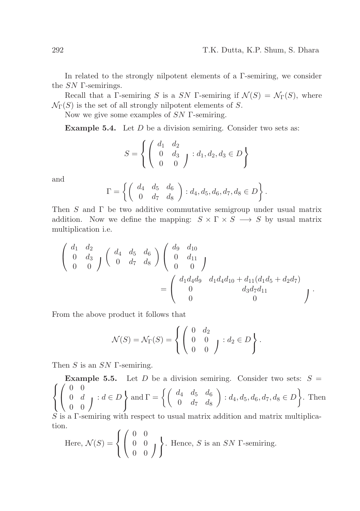In related to the strongly nilpotent elements of a  $\Gamma$ -semiring, we consider the SN Γ-semirings.

Recall that a Γ-semiring S is a SN Γ-semiring if  $\mathcal{N}(S) = \mathcal{N}_{\Gamma}(S)$ , where  $\mathcal{N}_{\Gamma}(S)$  is the set of all strongly nilpotent elements of S.

Now we give some examples of SN Γ-semiring.

Example 5.4. Let D be a division semiring. Consider two sets as:

$$
S = \left\{ \left( \begin{array}{cc} d_1 & d_2 \\ 0 & d_3 \\ 0 & 0 \end{array} \right) : d_1, d_2, d_3 \in D \right\}
$$

and

$$
\Gamma = \left\{ \left( \begin{array}{cc} d_4 & d_5 & d_6 \\ 0 & d_7 & d_8 \end{array} \right) : d_4, d_5, d_6, d_7, d_8 \in D \right\}.
$$

Then  $S$  and  $\Gamma$  be two additive commutative semigroup under usual matrix addition. Now we define the mapping:  $S \times \Gamma \times S \longrightarrow S$  by usual matrix multiplication i.e.

$$
\begin{pmatrix} d_1 & d_2 \ 0 & d_3 \ 0 & 0 \end{pmatrix} \begin{pmatrix} d_4 & d_5 & d_6 \ 0 & d_7 & d_8 \end{pmatrix} \begin{pmatrix} d_9 & d_{10} \ 0 & d_{11} \ 0 & 0 \end{pmatrix}
$$

$$
= \begin{pmatrix} d_1 d_4 d_9 & d_1 d_4 d_{10} + d_{11} (d_1 d_5 + d_2 d_7) \\ 0 & d_3 d_7 d_{11} \\ 0 & 0 \end{pmatrix}.
$$

From the above product it follows that

$$
\mathcal{N}(S) = \mathcal{N}_{\Gamma}(S) = \left\{ \begin{pmatrix} 0 & d_2 \\ 0 & 0 \\ 0 & 0 \end{pmatrix} : d_2 \in D \right\}.
$$

Then  $S$  is an  $SN$  Γ-semiring.

 $\sqrt{ }$ **Example 5.5.** Let D be a division semiring. Consider two sets:  $S =$  $\left\vert \right\vert$  $\mathcal{L}$  $\sqrt{ }$  $\overline{1}$ 0 0  $\left\{\begin{array}{cc} 0 & d \\ 0 & 0 \end{array}\right\} : d \in D$  $\int$ and  $\Gamma = \begin{cases} \begin{pmatrix} d_4 & d_5 & d_6 \ 0 & d_7 & d_8 \end{pmatrix} \end{cases}$  $\Big\} : d_4, d_5, d_6, d_7, d_8 \in D$ . Then

 $S$  is a  $\Gamma$ -semiring with respect to usual matrix addition and matrix multiplication.

Here, 
$$
\mathcal{N}(S) = \left\{ \begin{pmatrix} 0 & 0 \\ 0 & 0 \\ 0 & 0 \end{pmatrix} \right\}
$$
. Hence, S is an SN  $\Gamma$ -semiring.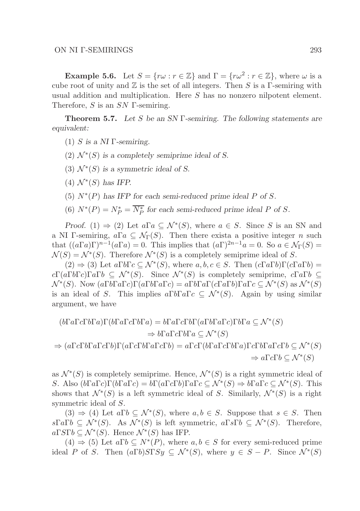**Example 5.6.** Let  $S = \{r\omega : r \in \mathbb{Z}\}\$ and  $\Gamma = \{r\omega^2 : r \in \mathbb{Z}\}\$ , where  $\omega$  is a cube root of unity and  $\mathbb Z$  is the set of all integers. Then S is a  $\Gamma$ -semiring with usual addition and multiplication. Here S has no nonzero nilpotent element. Therefore,  $S$  is an  $SN$  Γ-semiring.

Theorem 5.7. *Let* S *be an SN* Γ*-semiring. The following statements are equivalent:*

- (1) S *is a NI* Γ*-semiring.*
- $(2)$   $\mathcal{N}^*(S)$  is a completely semiprime ideal of S.
- (3)  $\mathcal{N}^*(S)$  is a symmetric ideal of S.
- $(4)$   $\mathcal{N}^*(S)$  has IFP.
- (5)  $N^*(P)$  has IFP for each semi-reduced prime ideal P of S.
- (6)  $N^*(P) = N_P^* = \overline{N_P^*}$  for each semi-reduced prime ideal P of S.

*Proof.* (1)  $\Rightarrow$  (2) Let  $a\Gamma a \subseteq \mathcal{N}^*(S)$ , where  $a \in S$ . Since S is an SN and a NI Γ-semiring,  $a\Gamma a \subseteq \mathcal{N}_{\Gamma}(S)$ . Then there exists a positive integer n such that  $((a\Gamma a)\Gamma)^{n-1}(a\Gamma a)=0$ . This implies that  $(a\Gamma)^{2n-1}a=0$ . So  $a\in\mathcal{N}_{\Gamma}(S)=$  $\mathcal{N}(S) = \mathcal{N}^*(S)$ . Therefore  $\mathcal{N}^*(S)$  is a completely semiprime ideal of S.

 $(2) \Rightarrow (3)$  Let  $a\Gamma b\Gamma c \subseteq \mathcal{N}^*(S)$ , where  $a, b, c \in S$ . Then  $(c\Gamma a\Gamma b)\Gamma(c\Gamma a\Gamma b)$  $c\Gamma(a\Gamma b\Gamma c)\Gamma a\Gamma b \subseteq \mathcal{N}^*(S)$ . Since  $\mathcal{N}^*(S)$  is completely semiprime,  $c\Gamma a\Gamma b \subseteq$  $\mathcal{N}^*(S)$ . Now  $(a\Gamma b\Gamma a\Gamma c)\Gamma(a\Gamma b\Gamma a\Gamma c) = a\Gamma b\Gamma a\Gamma(c\Gamma a\Gamma b)\Gamma a\Gamma c \subseteq \mathcal{N}^*(S)$  as  $\mathcal{N}^*(S)$ is an ideal of S. This implies  $a\Gamma b\Gamma a\Gamma c \subseteq \mathcal{N}^*(S)$ . Again by using similar argument, we have

$$
(b\Gamma a\Gamma c\Gamma b\Gamma a)\Gamma(b\Gamma a\Gamma c\Gamma b\Gamma a) = b\Gamma a\Gamma c\Gamma b\Gamma(a\Gamma b\Gamma a\Gamma c)\Gamma b\Gamma a \subseteq \mathcal{N}^*(S)
$$
  
\n
$$
\Rightarrow b\Gamma a\Gamma c\Gamma b\Gamma a \subseteq \mathcal{N}^*(S)
$$
  
\n
$$
\Rightarrow (a\Gamma c\Gamma b\Gamma a\Gamma c\Gamma b)\Gamma(a\Gamma c\Gamma b\Gamma a\Gamma c\Gamma b) = a\Gamma c\Gamma(b\Gamma a\Gamma c\Gamma b\Gamma a)\Gamma c\Gamma b\Gamma a\Gamma c\Gamma b \subseteq \mathcal{N}^*(S)
$$
  
\n
$$
\Rightarrow a\Gamma c\Gamma b \subseteq \mathcal{N}^*(S)
$$

as  $\mathcal{N}^*(S)$  is completely semiprime. Hence,  $\mathcal{N}^*(S)$  is a right symmetric ideal of S. Also  $(b\Gamma a\Gamma c)\Gamma(b\Gamma a\Gamma c) = b\Gamma(a\Gamma c\Gamma b)\Gamma a\Gamma c \subseteq \mathcal{N}^*(S) \Rightarrow b\Gamma a\Gamma c \subseteq \mathcal{N}^*(S)$ . This shows that  $\mathcal{N}^*(S)$  is a left symmetric ideal of S. Similarly,  $\mathcal{N}^*(S)$  is a right symmetric ideal of S.

 $(3) \Rightarrow (4)$  Let  $a \Gamma b \subseteq \mathcal{N}^*(S)$ , where  $a, b \in S$ . Suppose that  $s \in S$ . Then  $s\Gamma a\Gamma b \subseteq \mathcal{N}^*(S)$ . As  $\mathcal{N}^*(S)$  is left symmetric,  $a\Gamma s\Gamma b \subseteq \mathcal{N}^*(S)$ . Therefore,  $a\Gamma S\Gamma b\subseteq \mathcal{N}^{*}(S)$ . Hence  $\mathcal{N}^{*}(S)$  has IFP.

 $(4) \Rightarrow (5)$  Let  $a \Gamma b \subseteq N^*(P)$ , where  $a, b \in S$  for every semi-reduced prime ideal P of S. Then  $(a\Gamma b)S\Gamma Sy \subseteq \mathcal{N}^*(S)$ , where  $y \in S - P$ . Since  $\mathcal{N}^*(S)$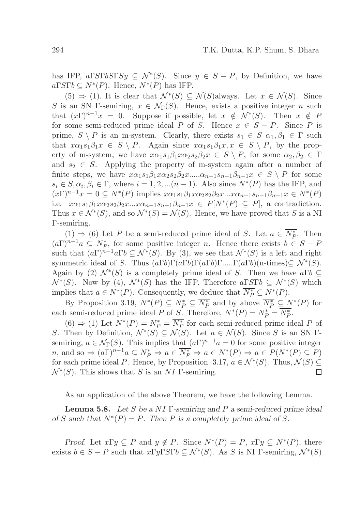has IFP,  $a \Gamma S \Gamma b S \Gamma S y \subseteq \mathcal{N}^*(S)$ . Since  $y \in S - P$ , by Definition, we have  $a\Gamma S\Gamma b \subseteq N^*(P)$ . Hence,  $N^*(P)$  has IFP.

 $(5) \Rightarrow (1)$ . It is clear that  $\mathcal{N}^*(S) \subseteq \mathcal{N}(S)$ always. Let  $x \in \mathcal{N}(S)$ . Since S is an SN Γ-semiring,  $x \in \mathcal{N}_{\Gamma}(S)$ . Hence, exists a positive integer n such that  $(x\Gamma)^{n-1}x = 0$ . Suppose if possible, let  $x \notin \mathcal{N}^*(S)$ . Then  $x \notin P$ for some semi-reduced prime ideal P of S. Hence  $x \in S - P$ . Since P is prime,  $S \setminus P$  is an m-system. Clearly, there exists  $s_1 \in S$   $\alpha_1, \beta_1 \in \Gamma$  such that  $x\alpha_1s_1\beta_1x \in S \setminus P$ . Again since  $x\alpha_1s_1\beta_1x, x \in S \setminus P$ , by the property of m-system, we have  $x\alpha_1s_1\beta_1x\alpha_2s_2\beta_2x \in S \setminus P$ , for some  $\alpha_2, \beta_2 \in \Gamma$ and  $s_2 \in S$ . Applying the property of m-system again after a number of finite steps, we have  $x\alpha_1s_1\beta_1x\alpha_2s_2\beta_2x\ldots \alpha_{n-1}s_{n-1}\beta_{n-1}x \in S \setminus P$  for some  $s_i \in S, \alpha_i, \beta_i \in \Gamma$ , where  $i = 1, 2, \ldots (n-1)$ . Also since  $N^*(P)$  has the IFP, and  $(x\Gamma)^{n-1}x = 0 \subseteq N^*(P)$  implies  $x\alpha_1s_1\beta_1x\alpha_2s_2\beta_2x...x\alpha_{n-1}s_{n-1}\beta_{n-1}x \in N^*(P)$ i.e.  $x\alpha_1s_1\beta_1x\alpha_2s_2\beta_2x...x\alpha_{n-1}s_{n-1}\beta_{n-1}x \in P[N^*(P) \subseteq P]$ , a contradiction. Thus  $x \in \mathcal{N}^*(S)$ , and so  $\mathcal{N}^*(S) = \mathcal{N}(S)$ . Hence, we have proved that S is a NI Γ-semiring.

(1)  $\Rightarrow$  (6) Let P be a semi-reduced prime ideal of S. Let  $a \in \overline{N_P^*}$ . Then  $(a\Gamma)^{n-1}a \subseteq N_P^*$ , for some positive integer n. Hence there exists  $b \in S - P$ such that  $(a\Gamma)^{n-1}a\Gamma b \subseteq \mathcal{N}^*(S)$ . By (3), we see that  $\mathcal{N}^*(S)$  is a left and right symmetric ideal of S. Thus  $(a\Gamma b)\Gamma(a\Gamma b)\Gamma(a\Gamma b)\Gamma$ ..... $\Gamma(a\Gamma b)(\Gamma b)$  times) $\subseteq \mathcal{N}^*(S)$ . Again by (2)  $\mathcal{N}^*(S)$  is a completely prime ideal of S. Then we have  $a\Gamma b \subseteq$  $\mathcal{N}^*(S)$ . Now by (4),  $\mathcal{N}^*(S)$  has the IFP. Therefore  $a\Gamma S\Gamma b \subseteq \mathcal{N}^*(S)$  which implies that  $a \in N^*(P)$ . Consequently, we deduce that  $\overline{N_P^*} \subseteq N^*(P)$ .

By Proposition 3.19,  $N^*(P) \subseteq N_P^* \subseteq \overline{N_P^*}$  and by above  $\overline{N_P^*} \subseteq N^*(P)$  for each semi-reduced prime ideal P of S. Therefore,  $N^*(P) = N_P^* = \overline{N_P^*}$ .

 $(6) \Rightarrow (1)$  Let  $N^*(P) = N_P^* = \overline{N_P^*}$  for each semi-reduced prime ideal P of S. Then by Definition,  $\mathcal{N}^*(S) \subseteq \mathcal{N}(S)$ . Let  $a \in \mathcal{N}(S)$ . Since S is an SN  $\Gamma$ semiring,  $a \in \mathcal{N}_{\Gamma}(S)$ . This implies that  $(a\Gamma)^{n-1}a = 0$  for some positive integer n, and so  $\Rightarrow$   $(a\Gamma)^{n-1}a \subseteq N_P^* \Rightarrow a \in \overline{N_P^*} \Rightarrow a \in N^*(P) \Rightarrow a \in P(N^*(P) \subseteq P)$ for each prime ideal P. Hence, by Proposition 3.17,  $a \in \mathcal{N}^*(S)$ . Thus,  $\mathcal{N}(S) \subseteq$  $\mathcal{N}^*(S)$ . This shows that S is an NI T-semiring.  $\Box$ 

As an application of the above Theorem, we have the following Lemma.

Lemma 5.8. *Let* S *be a* N I Γ*-semiring and* P *a semi-reduced prime ideal of* S such that  $N^*(P) = P$ . Then P is a completely prime ideal of S.

*Proof.* Let  $x \Gamma y \subseteq P$  and  $y \notin P$ . Since  $N^*(P) = P$ ,  $x \Gamma y \subseteq N^*(P)$ , there exists  $b \in S - P$  such that  $x \Gamma y \Gamma S \Gamma b \subseteq \mathcal{N}^*(S)$ . As S is NI  $\Gamma$ -semiring,  $\mathcal{N}^*(S)$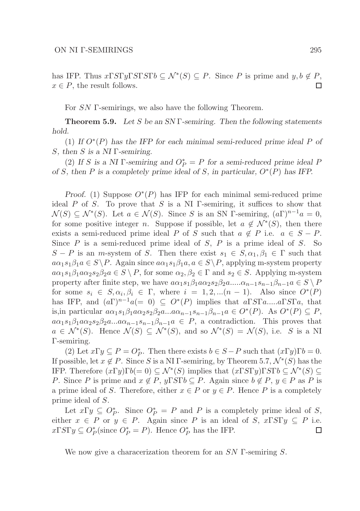has IFP. Thus  $x \Gamma S \Gamma y \Gamma S \Gamma S \Gamma b \subseteq \mathcal{N}^*(S) \subseteq P$ . Since P is prime and  $y, b \notin P$ ,  $x \in P$ , the result follows. П

For SN Γ-semirings, we also have the following Theorem.

Theorem 5.9. *Let* S *be an SN* Γ*-semiring. Then the following statements hold.*

(1) If  $O^*(P)$  has the IFP for each minimal semi-reduced prime ideal P of S*, then* S *is a NI* Γ*-semiring.*

(2) If S is a NI  $\Gamma$ -semiring and  $O_P^* = P$  for a semi-reduced prime ideal P *of* S*, then* P *is a completely prime ideal of* S*, in particular,* O<sup>∗</sup> (P) *has IFP.*

*Proof.* (1) Suppose  $O^*(P)$  has IFP for each minimal semi-reduced prime ideal  $P$  of  $S$ . To prove that  $S$  is a NI  $\Gamma$ -semiring, it suffices to show that  $\mathcal{N}(S) \subseteq \mathcal{N}^*(S)$ . Let  $a \in \mathcal{N}(S)$ . Since S is an SN Γ-semiring,  $(a\Gamma)^{n-1}a = 0$ , for some positive integer *n*. Suppose if possible, let  $a \notin \mathcal{N}^*(S)$ , then there exists a semi-reduced prime ideal P of S such that  $a \notin P$  i.e.  $a \in S - P$ . Since  $P$  is a semi-reduced prime ideal of  $S$ ,  $P$  is a prime ideal of  $S$ . So  $S - P$  is an m-system of S. Then there exist  $s_1 \in S, \alpha_1, \beta_1 \in \Gamma$  such that  $a\alpha_1s_1\beta_1a \in S \backslash P$ . Again since  $a\alpha_1s_1\beta_1a, a \in S \backslash P$ , applying m-system property  $a\alpha_1s_1\beta_1a\alpha_2s_2\beta_2a \in S \setminus P$ , for some  $\alpha_2, \beta_2 \in \Gamma$  and  $s_2 \in S$ . Applying m-system property after finite step, we have  $a\alpha_1s_1\beta_1a\alpha_2s_2\beta_2a....\alpha_{n-1}s_{n-1}\beta_{n-1}a \in S \setminus P$ for some  $s_i \in S, \alpha_i, \beta_i \in \Gamma$ , where  $i = 1, 2, \ldots (n-1)$ . Also since  $O^*(P)$ has IFP, and  $(a\Gamma)^{n-1}a(= 0) \subseteq O^*(P)$  implies that  $a\Gamma S\Gamma a.....a\Gamma S\Gamma a$ , that is,in particular  $a\alpha_1 s_1 \beta_1 a\alpha_2 s_2 \beta_2 a \ldots a\alpha_{n-1} s_{n-1} \beta_{n-1} a \in O^*(P)$ . As  $O^*(P) \subseteq P$ ,  $a\alpha_1s_1\beta_1a\alpha_2s_2\beta_2a...a\alpha_{n-1}s_{n-1}\beta_{n-1}a \in P$ , a contradiction. This proves that  $a \in \mathcal{N}^*(S)$ . Hence  $\mathcal{N}(S) \subseteq \mathcal{N}^*(S)$ , and so  $\mathcal{N}^*(S) = \mathcal{N}(S)$ , i.e. S is a NI Γ-semiring.

(2) Let  $x \Gamma y \subseteq P = O_P^*$ . Then there exists  $b \in S - P$  such that  $(x \Gamma y) \Gamma b = 0$ . If possible, let  $x \notin P$ . Since S is a NI Γ-semiring, by Theorem 5.7,  $\mathcal{N}^*(S)$  has the IFP. Therefore  $(x\Gamma y)\Gamma b(=0) \subseteq \mathcal{N}^*(S)$  implies that  $(x\Gamma S\Gamma y)\Gamma S\Gamma b \subseteq \mathcal{N}^*(S) \subseteq$ P. Since P is prime and  $x \notin P$ ,  $y \Gamma S \Gamma b \subseteq P$ . Again since  $b \notin P$ ,  $y \in P$  as P is a prime ideal of S. Therefore, either  $x \in P$  or  $y \in P$ . Hence P is a completely prime ideal of S.

Let  $x \Gamma y \subseteq O_P^*$ . Since  $O_P^* = P$  and P is a completely prime ideal of S, either  $x \in P$  or  $y \in P$ . Again since P is an ideal of S,  $x \Gamma S \Gamma y \subseteq P$  i.e.  $x \Gamma S \Gamma y \subseteq O_P^*$  (since  $O_P^* = P$ ). Hence  $O_P^*$  has the IFP. Ш

We now give a characerization theorem for an  $SN$  Γ-semiring S.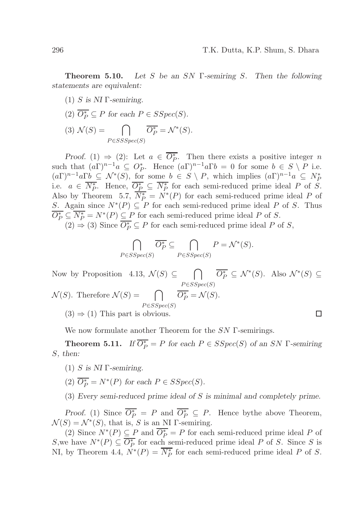Theorem 5.10. *Let* S *be an* SN Γ*-semiring* S*. Then the following statements are equivalent:*

- (1) S *is NI* Γ*-semiring.*
- (2)  $\overline{O_P^*} \subseteq P$  for each  $P \in SSpec(S)$ . (3)  $\mathcal{N}(S) = \bigcap_{P \in \mathcal{N}^*(S)} \overline{O_P^*} = \mathcal{N}^*(S).$  $P \in SSSpec(S)$

*Proof.* (1)  $\Rightarrow$  (2): Let  $a \in \overline{O_P^*}$ . Then there exists a positive integer n such that  $(a\Gamma)^{n-1}a \subseteq O_P^*$ . Hence  $(a\Gamma)^{n-1}a\Gamma b = 0$  for some  $b \in S \setminus P$  i.e.  $(a\Gamma)^{n-1}a\Gamma b \subseteq \mathcal{N}^*(S)$ , for some  $b \in S \setminus P$ , which implies  $(a\Gamma)^{n-1}a \subseteq N_P^*$ i.e.  $a \in \overline{N_P^*}$ . Hence,  $\overline{O_P^*} \subseteq \overline{N_P^*}$  for each semi-reduced prime ideal P of S. Also by Theorem 5.7,  $\overline{N_P^*} = N^*(P)$  for each semi-reduced prime ideal P of S. Again since  $N^*(P) \subseteq P$  for each semi-reduced prime ideal P of S. Thus  $\overline{O_P^*} \subseteq \overline{N_P^*} = N^*(P) \subseteq P$  for each semi-reduced prime ideal P of S.

(2) ⇒ (3) Since  $\overline{O_P^*}$  ⊆ P for each semi-reduced prime ideal P of S,

$$
\bigcap_{P\in SSpec(S)} \overline{O_P^*} \subseteq \bigcap_{P\in SSpec(S)} P = \mathcal{N}^*(S).
$$

Now by Proposition 4.13,  $\mathcal{N}(S) \subseteq \bigcap$  $\overline{O_P^*} \subseteq \mathcal{N}^*(S)$ . Also  $\mathcal{N}^*(S) \subseteq$  $P \in SSpec(S)$  $\mathcal{N}(S)$ . Therefore  $\mathcal{N}(S) = \bigcap$  $\overline{O_P^*} = \mathcal{N}(S).$  $P \in SSpec(S)$  $\Box$ 

 $(3) \Rightarrow (1)$  This part is obvious.

We now formulate another Theorem for the SN Γ-semirings.

**Theorem 5.11.** *If*  $\overline{O_P^*} = P$  *for each*  $P \in SSpec(S)$  *of an SN*  $\Gamma$ -semiring S*, then:*

- (1) S *is NI* Γ*-semiring.*
- (2)  $\overline{O_P^*} = N^*(P)$  for each  $P \in SSpec(S)$ .
- (3) *Every semi-reduced prime ideal of* S *is minimal and completely prime.*

*Proof.* (1) Since  $\overline{O_P^*} = P$  and  $\overline{O_P^*} \subseteq P$ . Hence by the above Theorem,  $\mathcal{N}(S) = \mathcal{N}^*(S)$ , that is, S is an NI  $\Gamma$ -semiring.

(2) Since  $N^*(P) \subseteq P$  and  $\overline{O_P^*} = P$  for each semi-reduced prime ideal P of S, we have  $N^*(P) \subseteq \overline{O_P^*}$  for each semi-reduced prime ideal P of S. Since S is NI, by Theorem 4.4,  $N^*(P) = \overline{N_P^*}$  for each semi-reduced prime ideal P of S.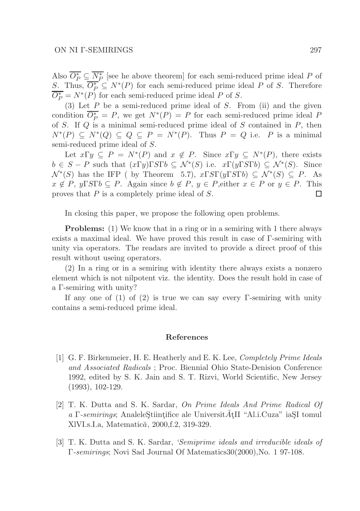Also  $\overline{O_P^*} \subseteq \overline{N_P^*}$  [see he above theorem] for each semi-reduced prime ideal P of S. Thus,  $\overline{O_P^*} \subseteq N^*(P)$  for each semi-reduced prime ideal P of S. Therefore  $\overline{O_P^*} = N^*(P)$  for each semi-reduced prime ideal P of S.

(3) Let  $P$  be a semi-reduced prime ideal of  $S$ . From (ii) and the given condition  $\overline{O_P^*} = P$ , we get  $N^*(P) = P$  for each semi-reduced prime ideal P of S. If  $Q$  is a minimal semi-reduced prime ideal of S contained in  $P$ , then  $N^*(P) \subseteq N^*(Q) \subseteq Q \subseteq P = N^*(P)$ . Thus  $P = Q$  i.e. P is a minimal semi-reduced prime ideal of S.

Let  $x \Gamma y \subseteq P = N^*(P)$  and  $x \notin P$ . Since  $x \Gamma y \subseteq N^*(P)$ , there exists  $b \in S - P$  such that  $(x \Gamma y) \Gamma S \Gamma b \subseteq \mathcal{N}^*(S)$  i.e.  $x \Gamma(y \Gamma S \Gamma b) \subseteq \mathcal{N}^*(S)$ . Since  $\mathcal{N}^*(S)$  has the IFP ( by Theorem 5.7),  $x\Gamma S\Gamma(y\Gamma S\Gamma b) \subseteq \mathcal{N}^*(S) \subseteq P$ . As  $x \notin P$ ,  $y \Gamma S \Gamma b \subseteq P$ . Again since  $b \notin P$ ,  $y \in P$ , either  $x \in P$  or  $y \in P$ . This proves that P is a completely prime ideal of S. 口

In closing this paper, we propose the following open problems.

Problems: (1) We know that in a ring or in a semiring with 1 there always exists a maximal ideal. We have proved this result in case of Γ-semiring with unity via operators. The readars are invited to provide a direct proof of this result without useing operators.

(2) In a ring or in a semiring with identity there always exists a nonzero element which is not nilpotent viz. the identity. Does the result hold in case of a Γ-semiring with unity?

If any one of  $(1)$  of  $(2)$  is true we can say every Γ-semiring with unity contains a semi-reduced prime ideal.

#### References

- [1] G. F. Birkenmeier, H. E. Heatherly and E. K. Lee, Completely Prime Ideals and Associated Radicals ; Proc. Biennial Ohio State-Denision Conference 1992, edited by S. K. Jain and S. T. Rizvi, World Scientific, New Jersey (1993), 102-129.
- [2] T. K. Dutta and S. K. Sardar, On Prime Ideals And Prime Radical Of a Γ-semirings; Analele Stiintifice ale Universit $\tilde{A}$ t<sub>II</sub> "Al.i.Cuza" iaSI tomul XIVI.s.I.a, Matematică, 2000, f.2, 319-329.
- [3] T. K. Dutta and S. K. Sardar, 'Semiprime ideals and irreducible ideals of Γ-semirings; Novi Sad Journal Of Matematics30(2000),No. 1 97-108.